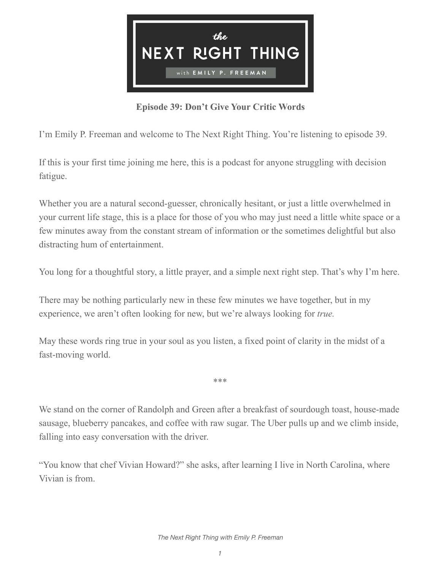

**Episode 39: Don't Give Your Critic Words**

I'm Emily P. Freeman and welcome to The Next Right Thing. You're listening to episode 39.

If this is your first time joining me here, this is a podcast for anyone struggling with decision fatigue.

Whether you are a natural second-guesser, chronically hesitant, or just a little overwhelmed in your current life stage, this is a place for those of you who may just need a little white space or a few minutes away from the constant stream of information or the sometimes delightful but also distracting hum of entertainment.

You long for a thoughtful story, a little prayer, and a simple next right step. That's why I'm here.

There may be nothing particularly new in these few minutes we have together, but in my experience, we aren't often looking for new, but we're always looking for *true.* 

May these words ring true in your soul as you listen, a fixed point of clarity in the midst of a fast-moving world.

\*\*\*

We stand on the corner of Randolph and Green after a breakfast of sourdough toast, house-made sausage, blueberry pancakes, and coffee with raw sugar. The Uber pulls up and we climb inside, falling into easy conversation with the driver.

"You know that chef Vivian Howard?" she asks, after learning I live in North Carolina, where Vivian is from.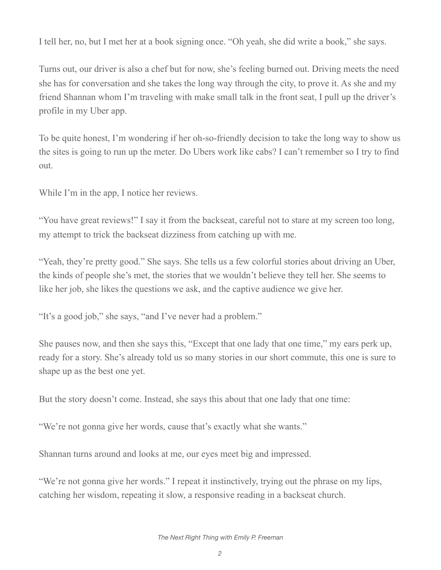I tell her, no, but I met her at a book signing once. "Oh yeah, she did write a book," she says.

Turns out, our driver is also a chef but for now, she's feeling burned out. Driving meets the need she has for conversation and she takes the long way through the city, to prove it. As she and my friend Shannan whom I'm traveling with make small talk in the front seat, I pull up the driver's profile in my Uber app.

To be quite honest, I'm wondering if her oh-so-friendly decision to take the long way to show us the sites is going to run up the meter. Do Ubers work like cabs? I can't remember so I try to find out.

While I'm in the app, I notice her reviews.

"You have great reviews!" I say it from the backseat, careful not to stare at my screen too long, my attempt to trick the backseat dizziness from catching up with me.

"Yeah, they're pretty good." She says. She tells us a few colorful stories about driving an Uber, the kinds of people she's met, the stories that we wouldn't believe they tell her. She seems to like her job, she likes the questions we ask, and the captive audience we give her.

"It's a good job," she says, "and I've never had a problem."

She pauses now, and then she says this, "Except that one lady that one time," my ears perk up, ready for a story. She's already told us so many stories in our short commute, this one is sure to shape up as the best one yet.

But the story doesn't come. Instead, she says this about that one lady that one time:

"We're not gonna give her words, cause that's exactly what she wants."

Shannan turns around and looks at me, our eyes meet big and impressed.

"We're not gonna give her words." I repeat it instinctively, trying out the phrase on my lips, catching her wisdom, repeating it slow, a responsive reading in a backseat church.

*The Next Right Thing with Emily P. Freeman*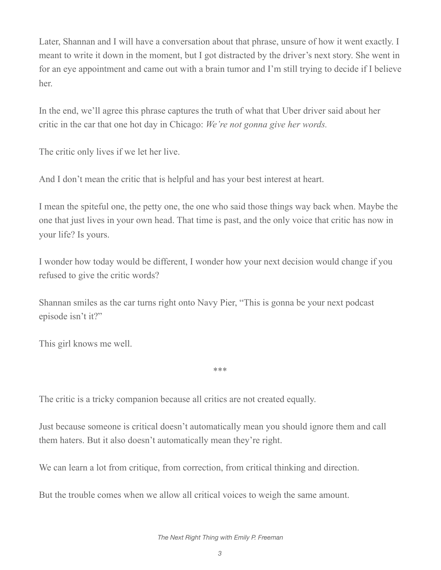Later, Shannan and I will have a conversation about that phrase, unsure of how it went exactly. I meant to write it down in the moment, but I got distracted by the driver's next story. She went in for an eye appointment and came out with a brain tumor and I'm still trying to decide if I believe her.

In the end, we'll agree this phrase captures the truth of what that Uber driver said about her critic in the car that one hot day in Chicago: *We're not gonna give her words.*

The critic only lives if we let her live.

And I don't mean the critic that is helpful and has your best interest at heart.

I mean the spiteful one, the petty one, the one who said those things way back when. Maybe the one that just lives in your own head. That time is past, and the only voice that critic has now in your life? Is yours.

I wonder how today would be different, I wonder how your next decision would change if you refused to give the critic words?

Shannan smiles as the car turns right onto Navy Pier, "This is gonna be your next podcast episode isn't it?"

This girl knows me well.

The critic is a tricky companion because all critics are not created equally.

Just because someone is critical doesn't automatically mean you should ignore them and call them haters. But it also doesn't automatically mean they're right.

\*\*\*

We can learn a lot from critique, from correction, from critical thinking and direction.

But the trouble comes when we allow all critical voices to weigh the same amount.

*The Next Right Thing with Emily P. Freeman*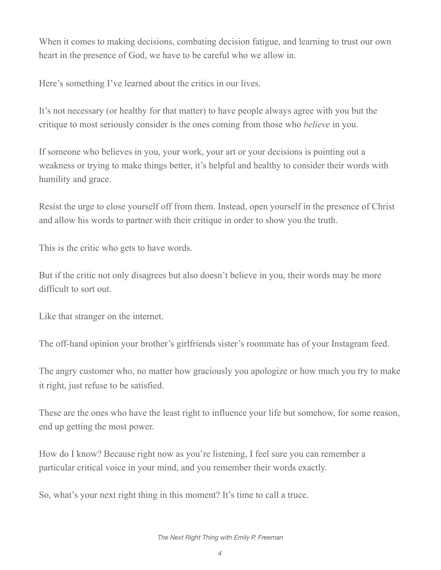When it comes to making decisions, combating decision fatigue, and learning to trust our own heart in the presence of God, we have to be careful who we allow in.

Here's something I've learned about the critics in our lives.

It's not necessary (or healthy for that matter) to have people always agree with you but the critique to most seriously consider is the ones coming from those who *believe* in you.

If someone who believes in you, your work, your art or your decisions is pointing out a weakness or trying to make things better, it's helpful and healthy to consider their words with humility and grace.

Resist the urge to close yourself off from them. Instead, open yourself in the presence of Christ and allow his words to partner with their critique in order to show you the truth.

This is the critic who gets to have words.

But if the critic not only disagrees but also doesn't believe in you, their words may be more difficult to sort out.

Like that stranger on the internet.

The off-hand opinion your brother's girlfriends sister's roommate has of your Instagram feed.

The angry customer who, no matter how graciously you apologize or how much you try to make it right, just refuse to be satisfied.

These are the ones who have the least right to influence your life but somehow, for some reason, end up getting the most power.

How do I know? Because right now as you're listening, I feel sure you can remember a particular critical voice in your mind, and you remember their words exactly.

So, what's your next right thing in this moment? It's time to call a truce.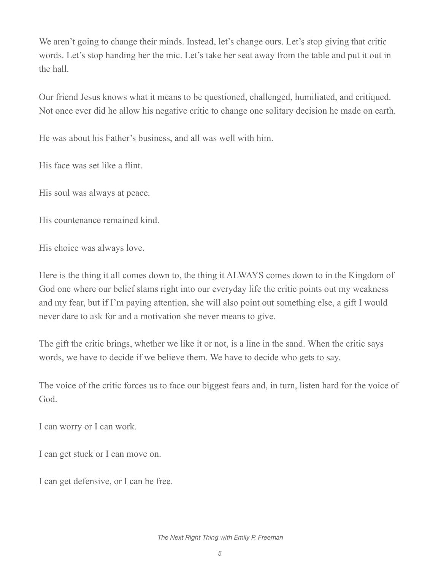We aren't going to change their minds. Instead, let's change ours. Let's stop giving that critic words. Let's stop handing her the mic. Let's take her seat away from the table and put it out in the hall.

Our friend Jesus knows what it means to be questioned, challenged, humiliated, and critiqued. Not once ever did he allow his negative critic to change one solitary decision he made on earth.

He was about his Father's business, and all was well with him.

His face was set like a flint.

His soul was always at peace.

His countenance remained kind.

His choice was always love.

Here is the thing it all comes down to, the thing it ALWAYS comes down to in the Kingdom of God one where our belief slams right into our everyday life the critic points out my weakness and my fear, but if I'm paying attention, she will also point out something else, a gift I would never dare to ask for and a motivation she never means to give.

The gift the critic brings, whether we like it or not, is a line in the sand. When the critic says words, we have to decide if we believe them. We have to decide who gets to say.

The voice of the critic forces us to face our biggest fears and, in turn, listen hard for the voice of God.

I can worry or I can work.

I can get stuck or I can move on.

I can get defensive, or I can be free.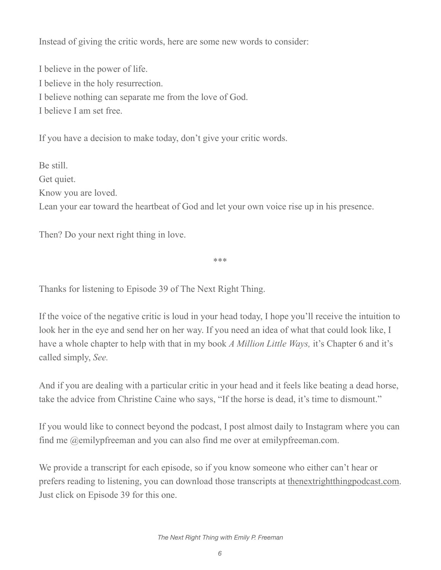Instead of giving the critic words, here are some new words to consider:

I believe in the power of life. I believe in the holy resurrection. I believe nothing can separate me from the love of God. I believe I am set free.

If you have a decision to make today, don't give your critic words.

Be still. Get quiet. Know you are loved. Lean your ear toward the heartbeat of God and let your own voice rise up in his presence.

Then? Do your next right thing in love.

\*\*\*

Thanks for listening to Episode 39 of The Next Right Thing.

If the voice of the negative critic is loud in your head today, I hope you'll receive the intuition to look her in the eye and send her on her way. If you need an idea of what that could look like, I have a whole chapter to help with that in my book *A Million Little Ways,* it's Chapter 6 and it's called simply, *See.*

And if you are dealing with a particular critic in your head and it feels like beating a dead horse, take the advice from Christine Caine who says, "If the horse is dead, it's time to dismount."

If you would like to connect beyond the podcast, I post almost daily to Instagram where you can find me @emilypfreeman and you can also find me over at emilypfreeman.com.

We provide a transcript for each episode, so if you know someone who either can't hear or prefers reading to listening, you can download those transcripts at [thenextrightthingpodcast.com](http://thenextrightthingpodcast.com). Just click on Episode 39 for this one.